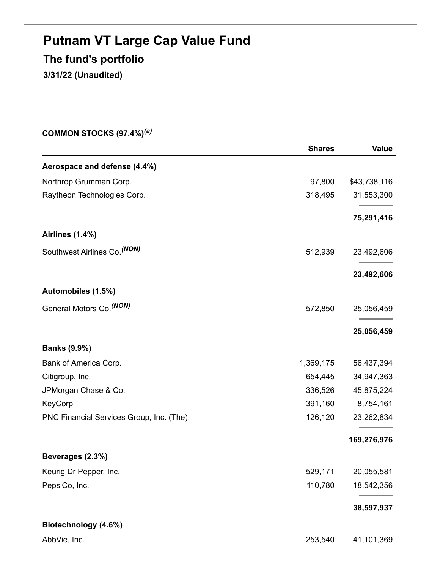# **Putnam VT Large Cap Value Fund The fund's portfolio**

**3/31/22 (Unaudited)**

**COMMON STOCKS (97.4%)** *(a)*

|                                          | <b>Shares</b> | <b>Value</b> |
|------------------------------------------|---------------|--------------|
| Aerospace and defense (4.4%)             |               |              |
| Northrop Grumman Corp.                   | 97,800        | \$43,738,116 |
| Raytheon Technologies Corp.              | 318,495       | 31,553,300   |
|                                          |               | 75,291,416   |
| <b>Airlines (1.4%)</b>                   |               |              |
| Southwest Airlines Co. <sup>(NON)</sup>  | 512,939       | 23,492,606   |
|                                          |               | 23,492,606   |
| Automobiles (1.5%)                       |               |              |
| General Motors Co. (NON)                 | 572,850       | 25,056,459   |
|                                          |               | 25,056,459   |
| <b>Banks (9.9%)</b>                      |               |              |
| Bank of America Corp.                    | 1,369,175     | 56,437,394   |
| Citigroup, Inc.                          | 654,445       | 34,947,363   |
| JPMorgan Chase & Co.                     | 336,526       | 45,875,224   |
| KeyCorp                                  | 391,160       | 8,754,161    |
| PNC Financial Services Group, Inc. (The) | 126,120       | 23,262,834   |
|                                          |               | 169,276,976  |
| Beverages (2.3%)                         |               |              |
| Keurig Dr Pepper, Inc.                   | 529,171       | 20,055,581   |
| PepsiCo, Inc.                            | 110,780       | 18,542,356   |
|                                          |               | 38,597,937   |
| Biotechnology (4.6%)                     |               |              |
| AbbVie, Inc.                             | 253,540       | 41,101,369   |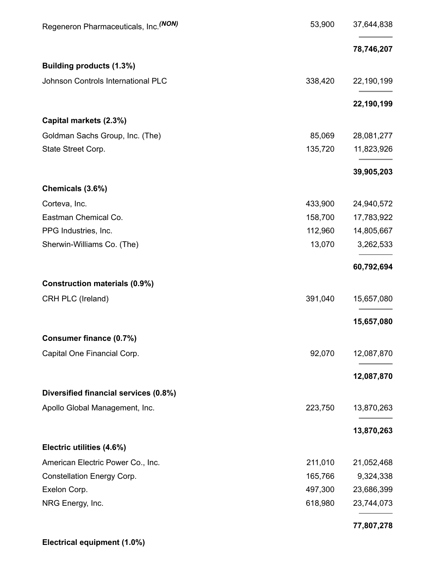| Regeneron Pharmaceuticals, Inc. (NON) | 53,900  | 37,644,838 |
|---------------------------------------|---------|------------|
|                                       |         | 78,746,207 |
| Building products (1.3%)              |         |            |
| Johnson Controls International PLC    | 338,420 | 22,190,199 |
|                                       |         | 22,190,199 |
| Capital markets (2.3%)                |         |            |
| Goldman Sachs Group, Inc. (The)       | 85,069  | 28,081,277 |
| State Street Corp.                    | 135,720 | 11,823,926 |
|                                       |         | 39,905,203 |
| Chemicals (3.6%)                      |         |            |
| Corteva, Inc.                         | 433,900 | 24,940,572 |
| Eastman Chemical Co.                  | 158,700 | 17,783,922 |
| PPG Industries, Inc.                  | 112,960 | 14,805,667 |
| Sherwin-Williams Co. (The)            | 13,070  | 3,262,533  |
|                                       |         | 60,792,694 |
| <b>Construction materials (0.9%)</b>  |         |            |
| CRH PLC (Ireland)                     | 391,040 | 15,657,080 |
|                                       |         | 15,657,080 |
| Consumer finance (0.7%)               |         |            |
| Capital One Financial Corp.           | 92,070  | 12,087,870 |
|                                       |         | 12,087,870 |
| Diversified financial services (0.8%) |         |            |
| Apollo Global Management, Inc.        | 223,750 | 13,870,263 |
|                                       |         | 13,870,263 |
| Electric utilities (4.6%)             |         |            |
| American Electric Power Co., Inc.     | 211,010 | 21,052,468 |
| <b>Constellation Energy Corp.</b>     | 165,766 | 9,324,338  |
| Exelon Corp.                          | 497,300 | 23,686,399 |
| NRG Energy, Inc.                      | 618,980 | 23,744,073 |
|                                       |         | 77,807,278 |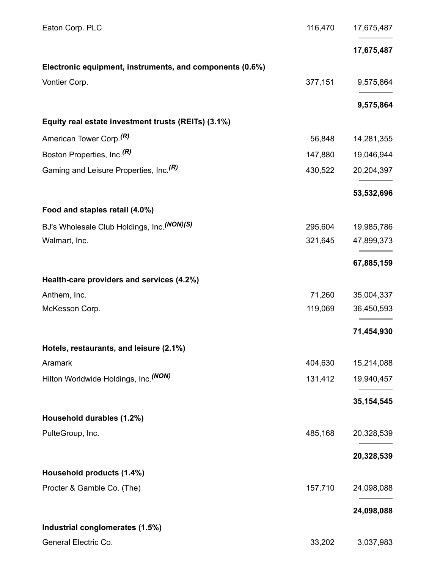| Eaton Corp. PLC                                          | 116,470 | 17,675,487   |
|----------------------------------------------------------|---------|--------------|
|                                                          |         | 17,675,487   |
| Electronic equipment, instruments, and components (0.6%) |         |              |
| Vontier Corp.                                            | 377,151 | 9,575,864    |
|                                                          |         | 9,575,864    |
| Equity real estate investment trusts (REITs) (3.1%)      |         |              |
| American Tower Corp. <sup>(R)</sup>                      | 56,848  | 14,281,355   |
| Boston Properties, Inc. <sup>(R)</sup>                   | 147,880 | 19,046,944   |
| Gaming and Leisure Properties, Inc. <sup>(R)</sup>       | 430,522 | 20,204,397   |
|                                                          |         | 53,532,696   |
| Food and staples retail (4.0%)                           |         |              |
| BJ's Wholesale Club Holdings, Inc. (NON)(S)              | 295,604 | 19,985,786   |
| Walmart, Inc.                                            | 321,645 | 47,899,373   |
|                                                          |         | 67,885,159   |
| Health-care providers and services (4.2%)                |         |              |
| Anthem, Inc.                                             | 71,260  | 35,004,337   |
| McKesson Corp.                                           | 119,069 | 36,450,593   |
|                                                          |         | 71,454,930   |
| Hotels, restaurants, and leisure (2.1%)                  |         |              |
| Aramark                                                  | 404,630 | 15,214,088   |
| Hilton Worldwide Holdings, Inc. (NON)                    | 131,412 | 19,940,457   |
|                                                          |         | 35, 154, 545 |
| Household durables (1.2%)                                |         |              |
| PulteGroup, Inc.                                         | 485,168 | 20,328,539   |
|                                                          |         | 20,328,539   |
| Household products (1.4%)                                |         |              |
| Procter & Gamble Co. (The)                               | 157,710 | 24,098,088   |
|                                                          |         | 24,098,088   |
| Industrial conglomerates (1.5%)                          |         |              |
| General Electric Co.                                     | 33,202  | 3,037,983    |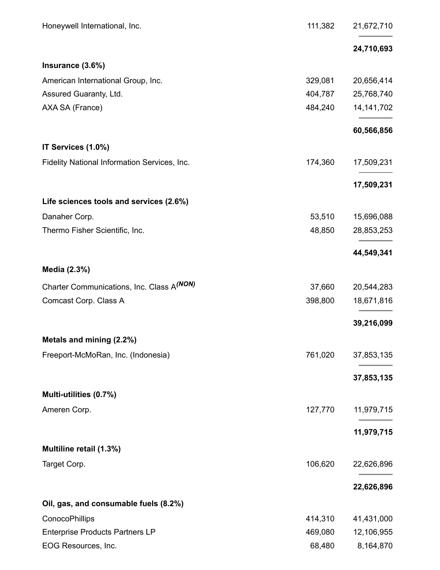| Honeywell International, Inc.                | 111,382 | 21,672,710   |
|----------------------------------------------|---------|--------------|
|                                              |         | 24,710,693   |
| Insurance (3.6%)                             |         |              |
| American International Group, Inc.           | 329,081 | 20,656,414   |
| Assured Guaranty, Ltd.                       | 404,787 | 25,768,740   |
| AXA SA (France)                              | 484,240 | 14, 141, 702 |
|                                              |         | 60,566,856   |
| IT Services (1.0%)                           |         |              |
| Fidelity National Information Services, Inc. | 174,360 | 17,509,231   |
|                                              |         | 17,509,231   |
| Life sciences tools and services (2.6%)      |         |              |
| Danaher Corp.                                | 53,510  | 15,696,088   |
| Thermo Fisher Scientific, Inc.               | 48,850  | 28,853,253   |
|                                              |         | 44,549,341   |
| Media (2.3%)                                 |         |              |
| Charter Communications, Inc. Class A(NON)    | 37,660  | 20,544,283   |
| Comcast Corp. Class A                        | 398,800 | 18,671,816   |
|                                              |         | 39,216,099   |
| Metals and mining (2.2%)                     |         |              |
| Freeport-McMoRan, Inc. (Indonesia)           | 761,020 | 37,853,135   |
|                                              |         | 37,853,135   |
| Multi-utilities (0.7%)                       |         |              |
| Ameren Corp.                                 | 127,770 | 11,979,715   |
|                                              |         | 11,979,715   |
| Multiline retail (1.3%)                      |         |              |
| Target Corp.                                 | 106,620 | 22,626,896   |
|                                              |         | 22,626,896   |
| Oil, gas, and consumable fuels (8.2%)        |         |              |
| ConocoPhillips                               | 414,310 | 41,431,000   |
| <b>Enterprise Products Partners LP</b>       | 469,080 | 12,106,955   |
| EOG Resources, Inc.                          | 68,480  | 8,164,870    |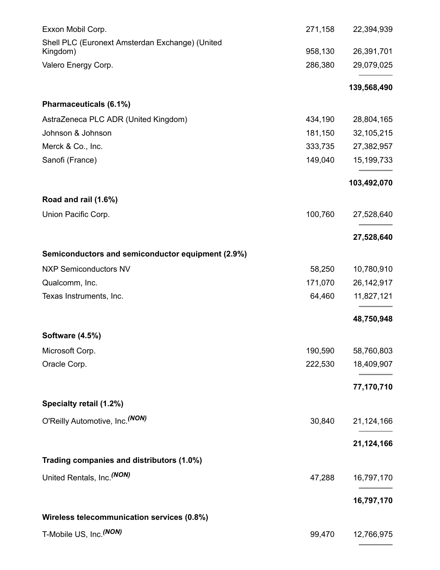| Exxon Mobil Corp.                                 | 271,158 | 22,394,939   |
|---------------------------------------------------|---------|--------------|
| Shell PLC (Euronext Amsterdan Exchange) (United   |         |              |
| Kingdom)                                          | 958,130 | 26,391,701   |
| Valero Energy Corp.                               | 286,380 | 29,079,025   |
|                                                   |         | 139,568,490  |
| Pharmaceuticals (6.1%)                            |         |              |
| AstraZeneca PLC ADR (United Kingdom)              | 434,190 | 28,804,165   |
| Johnson & Johnson                                 | 181,150 | 32,105,215   |
| Merck & Co., Inc.                                 | 333,735 | 27,382,957   |
| Sanofi (France)                                   | 149,040 | 15,199,733   |
|                                                   |         | 103,492,070  |
| Road and rail (1.6%)                              |         |              |
| Union Pacific Corp.                               | 100,760 | 27,528,640   |
|                                                   |         | 27,528,640   |
| Semiconductors and semiconductor equipment (2.9%) |         |              |
| <b>NXP Semiconductors NV</b>                      | 58,250  | 10,780,910   |
| Qualcomm, Inc.                                    | 171,070 | 26, 142, 917 |
| Texas Instruments, Inc.                           | 64,460  | 11,827,121   |
|                                                   |         | 48,750,948   |
| <b>Software (4.5%)</b>                            |         |              |
| Microsoft Corp.                                   | 190,590 | 58,760,803   |
| Oracle Corp.                                      | 222,530 | 18,409,907   |
|                                                   |         | 77,170,710   |
| Specialty retail (1.2%)                           |         |              |
| O'Reilly Automotive, Inc. (NON)                   | 30,840  | 21,124,166   |
|                                                   |         | 21,124,166   |
| Trading companies and distributors (1.0%)         |         |              |
| United Rentals, Inc. (NON)                        | 47,288  | 16,797,170   |
|                                                   |         | 16,797,170   |
| Wireless telecommunication services (0.8%)        |         |              |
| T-Mobile US, Inc. <sup>(NON)</sup>                | 99,470  | 12,766,975   |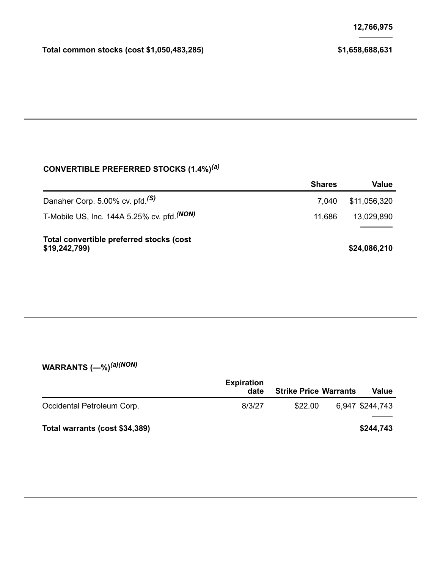## **CONVERTIBLE PREFERRED STOCKS (1.4%)** *(a)*

|                                                          | <b>Shares</b> | Value        |
|----------------------------------------------------------|---------------|--------------|
| Danaher Corp. 5.00% cv. pfd. <sup>(S)</sup>              | 7.040         | \$11,056,320 |
| T-Mobile US, Inc. 144A 5.25% cv. pfd. $(NON)$            | 11.686        | 13,029,890   |
| Total convertible preferred stocks (cost<br>\$19,242,799 |               | \$24,086,210 |

#### **WARRANTS (—%)** *(a)(NON)*

|                                | <b>Expiration</b><br>date | <b>Strike Price Warrants</b> | <b>Value</b>    |
|--------------------------------|---------------------------|------------------------------|-----------------|
| Occidental Petroleum Corp.     | 8/3/27                    | \$22.00                      | 6,947 \$244,743 |
| Total warrants (cost \$34,389) |                           |                              | \$244,743       |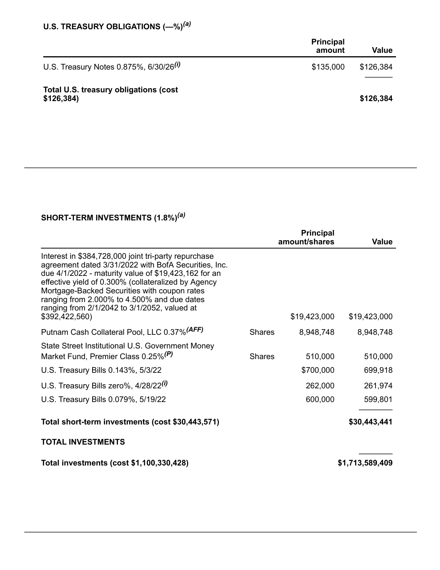#### **U.S. TREASURY OBLIGATIONS (—%)** *(a)*

|                                                     | <b>Principal</b><br>amount | <b>Value</b> |
|-----------------------------------------------------|----------------------------|--------------|
| U.S. Treasury Notes 0.875%, 6/30/26 <sup>(i)</sup>  | \$135,000                  | \$126,384    |
| Total U.S. treasury obligations (cost<br>\$126,384) |                            | \$126,384    |

## **SHORT-TERM INVESTMENTS (1.8%)** *(a)*

|                                                                                                                                                                                                                                                                                                                                                                                              |               | <b>Principal</b><br>amount/shares | <b>Value</b>       |
|----------------------------------------------------------------------------------------------------------------------------------------------------------------------------------------------------------------------------------------------------------------------------------------------------------------------------------------------------------------------------------------------|---------------|-----------------------------------|--------------------|
| Interest in \$384,728,000 joint tri-party repurchase<br>agreement dated 3/31/2022 with BofA Securities, Inc.<br>due 4/1/2022 - maturity value of \$19,423,162 for an<br>effective yield of 0.300% (collateralized by Agency<br>Mortgage-Backed Securities with coupon rates<br>ranging from 2.000% to 4.500% and due dates<br>ranging from 2/1/2042 to 3/1/2052, valued at<br>\$392,422,560) |               | \$19,423,000                      | \$19,423,000       |
| Putnam Cash Collateral Pool, LLC 0.37% <sup>(AFF)</sup>                                                                                                                                                                                                                                                                                                                                      | <b>Shares</b> | 8,948,748                         | 8,948,748          |
| State Street Institutional U.S. Government Money<br>Market Fund, Premier Class 0.25% <sup>(P)</sup><br>U.S. Treasury Bills 0.143%, 5/3/22                                                                                                                                                                                                                                                    | <b>Shares</b> | 510,000<br>\$700,000              | 510,000<br>699,918 |
| U.S. Treasury Bills zero%, 4/28/22 <sup>(i)</sup>                                                                                                                                                                                                                                                                                                                                            |               | 262,000                           | 261,974            |
| U.S. Treasury Bills 0.079%, 5/19/22                                                                                                                                                                                                                                                                                                                                                          |               | 600,000                           | 599,801            |
| Total short-term investments (cost \$30,443,571)                                                                                                                                                                                                                                                                                                                                             |               |                                   | \$30,443,441       |
| <b>TOTAL INVESTMENTS</b>                                                                                                                                                                                                                                                                                                                                                                     |               |                                   |                    |
| Total investments (cost \$1,100,330,428)                                                                                                                                                                                                                                                                                                                                                     |               |                                   | \$1,713,589,409    |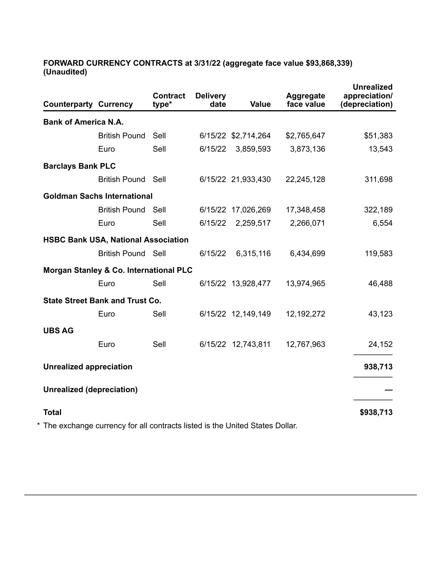#### **FORWARD CURRENCY CONTRACTS at 3/31/22 (aggregate face value \$93,868,339) (Unaudited)**

| <b>Counterparty Currency</b>     |                                                                               | <b>Contract</b><br>type* | <b>Delivery</b><br>date | <b>Value</b>        | <b>Aggregate</b><br>face value | <b>Unrealized</b><br>appreciation/<br>(depreciation) |
|----------------------------------|-------------------------------------------------------------------------------|--------------------------|-------------------------|---------------------|--------------------------------|------------------------------------------------------|
| <b>Bank of America N.A.</b>      |                                                                               |                          |                         |                     |                                |                                                      |
|                                  | <b>British Pound</b>                                                          | Sell                     |                         | 6/15/22 \$2,714,264 | \$2,765,647                    | \$51,383                                             |
|                                  | Euro                                                                          | Sell                     | 6/15/22                 | 3,859,593           | 3,873,136                      | 13,543                                               |
| <b>Barclays Bank PLC</b>         |                                                                               |                          |                         |                     |                                |                                                      |
|                                  | <b>British Pound Sell</b>                                                     |                          |                         | 6/15/22 21,933,430  | 22,245,128                     | 311,698                                              |
|                                  | <b>Goldman Sachs International</b>                                            |                          |                         |                     |                                |                                                      |
|                                  | <b>British Pound Sell</b>                                                     |                          |                         | 6/15/22 17,026,269  | 17,348,458                     | 322,189                                              |
|                                  | Euro                                                                          | Sell                     | 6/15/22                 | 2,259,517           | 2,266,071                      | 6,554                                                |
|                                  | <b>HSBC Bank USA, National Association</b>                                    |                          |                         |                     |                                |                                                      |
|                                  | <b>British Pound Sell</b>                                                     |                          | 6/15/22                 | 6,315,116           | 6,434,699                      | 119,583                                              |
|                                  | <b>Morgan Stanley &amp; Co. International PLC</b>                             |                          |                         |                     |                                |                                                      |
|                                  | Euro                                                                          | Sell                     |                         | 6/15/22 13,928,477  | 13,974,965                     | 46,488                                               |
|                                  | <b>State Street Bank and Trust Co.</b>                                        |                          |                         |                     |                                |                                                      |
|                                  | Euro                                                                          | Sell                     |                         | 6/15/22 12,149,149  | 12, 192, 272                   | 43,123                                               |
| <b>UBS AG</b>                    |                                                                               |                          |                         |                     |                                |                                                      |
|                                  | Euro                                                                          | Sell                     |                         | 6/15/22 12,743,811  | 12,767,963                     | 24,152                                               |
| <b>Unrealized appreciation</b>   |                                                                               |                          |                         |                     |                                | 938,713                                              |
| <b>Unrealized (depreciation)</b> |                                                                               |                          |                         |                     |                                |                                                      |
| <b>Total</b>                     |                                                                               |                          |                         |                     |                                | \$938,713                                            |
|                                  | * The exchange currency for all contracts listed is the United States Dollar. |                          |                         |                     |                                |                                                      |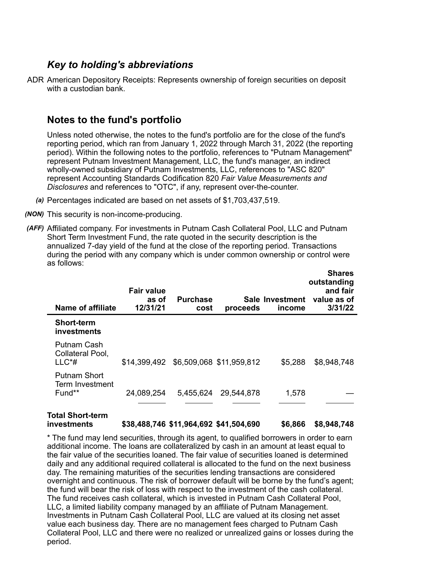## *Key to holding's abbreviations*

ADR American Depository Receipts: Represents ownership of foreign securities on deposit with a custodian bank.

## **Notes to the fund's portfolio**

Unless noted otherwise, the notes to the fund's portfolio are for the close of the fund's reporting period, which ran from January 1, 2022 through March 31, 2022 (the reporting period). Within the following notes to the portfolio, references to "Putnam Management" represent Putnam Investment Management, LLC, the fund's manager, an indirect wholly-owned subsidiary of Putnam Investments, LLC, references to "ASC 820" represent Accounting Standards Codification 820 *Fair Value Measurements and Disclosures* and references to "OTC", if any, represent over-the-counter.

- *(a)* Percentages indicated are based on net assets of \$1,703,437,519.
- *(NON)* This security is non-income-producing.
- *(AFF)* Affiliated company. For investments in Putnam Cash Collateral Pool, LLC and Putnam Short Term Investment Fund, the rate quoted in the security description is the annualized 7-day yield of the fund at the close of the reporting period. Transactions during the period with any company which is under common ownership or control were as follows:

| Name of affiliate                                  | <b>Fair value</b><br>as of<br>12/31/21 | <b>Purchase</b><br>cost | proceeds   | Sale Investment<br>income | <b>Shares</b><br>outstanding<br>and fair<br>value as of<br>3/31/22 |
|----------------------------------------------------|----------------------------------------|-------------------------|------------|---------------------------|--------------------------------------------------------------------|
| <b>Short-term</b><br>investments                   |                                        |                         |            |                           |                                                                    |
| Putnam Cash<br>Collateral Pool,<br>$LLC^*$ #       | \$14,399,492 \$6,509,068 \$11,959,812  |                         |            | \$5,288                   | \$8,948,748                                                        |
| <b>Putnam Short</b><br>Term Investment<br>$Fund**$ | 24,089,254                             | 5,455,624               | 29,544,878 | 1,578                     |                                                                    |

#### **Total Short-term investments \$38,488,746 \$11,964,692 \$41,504,690 \$6,866 \$8,948,748**

\* The fund may lend securities, through its agent, to qualified borrowers in order to earn additional income. The loans are collateralized by cash in an amount at least equal to the fair value of the securities loaned. The fair value of securities loaned is determined daily and any additional required collateral is allocated to the fund on the next business day. The remaining maturities of the securities lending transactions are considered overnight and continuous. The risk of borrower default will be borne by the fund's agent; the fund will bear the risk of loss with respect to the investment of the cash collateral. The fund receives cash collateral, which is invested in Putnam Cash Collateral Pool, LLC, a limited liability company managed by an affiliate of Putnam Management. Investments in Putnam Cash Collateral Pool, LLC are valued at its closing net asset value each business day. There are no management fees charged to Putnam Cash Collateral Pool, LLC and there were no realized or unrealized gains or losses during the period.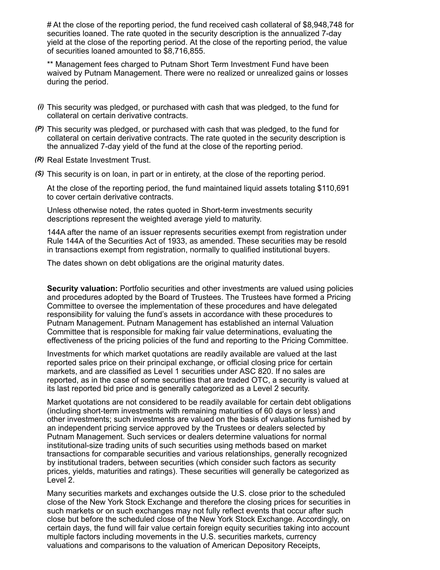# At the close of the reporting period, the fund received cash collateral of \$8,948,748 for securities loaned. The rate quoted in the security description is the annualized 7-day yield at the close of the reporting period. At the close of the reporting period, the value of securities loaned amounted to \$8,716,855.

\*\* Management fees charged to Putnam Short Term Investment Fund have been waived by Putnam Management. There were no realized or unrealized gains or losses during the period.

- *(i)* This security was pledged, or purchased with cash that was pledged, to the fund for collateral on certain derivative contracts.
- *(P)* This security was pledged, or purchased with cash that was pledged, to the fund for collateral on certain derivative contracts. The rate quoted in the security description is the annualized 7-day yield of the fund at the close of the reporting period.
- *(R)* Real Estate Investment Trust.
- *(S)* This security is on loan, in part or in entirety, at the close of the reporting period.

At the close of the reporting period, the fund maintained liquid assets totaling \$110,691 to cover certain derivative contracts.

Unless otherwise noted, the rates quoted in Short-term investments security descriptions represent the weighted average yield to maturity.

144A after the name of an issuer represents securities exempt from registration under Rule 144A of the Securities Act of 1933, as amended. These securities may be resold in transactions exempt from registration, normally to qualified institutional buyers.

The dates shown on debt obligations are the original maturity dates.

**Security valuation:** Portfolio securities and other investments are valued using policies and procedures adopted by the Board of Trustees. The Trustees have formed a Pricing Committee to oversee the implementation of these procedures and have delegated responsibility for valuing the fund's assets in accordance with these procedures to Putnam Management. Putnam Management has established an internal Valuation Committee that is responsible for making fair value determinations, evaluating the effectiveness of the pricing policies of the fund and reporting to the Pricing Committee.

Investments for which market quotations are readily available are valued at the last reported sales price on their principal exchange, or official closing price for certain markets, and are classified as Level 1 securities under ASC 820. If no sales are reported, as in the case of some securities that are traded OTC, a security is valued at its last reported bid price and is generally categorized as a Level 2 security.

Market quotations are not considered to be readily available for certain debt obligations (including short-term investments with remaining maturities of 60 days or less) and other investments; such investments are valued on the basis of valuations furnished by an independent pricing service approved by the Trustees or dealers selected by Putnam Management. Such services or dealers determine valuations for normal institutional-size trading units of such securities using methods based on market transactions for comparable securities and various relationships, generally recognized by institutional traders, between securities (which consider such factors as security prices, yields, maturities and ratings). These securities will generally be categorized as Level 2.

Many securities markets and exchanges outside the U.S. close prior to the scheduled close of the New York Stock Exchange and therefore the closing prices for securities in such markets or on such exchanges may not fully reflect events that occur after such close but before the scheduled close of the New York Stock Exchange. Accordingly, on certain days, the fund will fair value certain foreign equity securities taking into account multiple factors including movements in the U.S. securities markets, currency valuations and comparisons to the valuation of American Depository Receipts,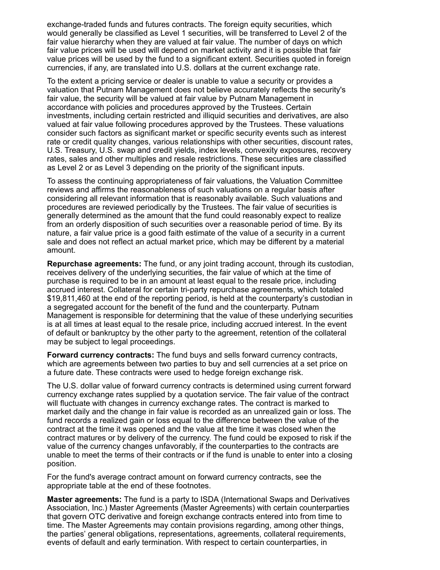exchange-traded funds and futures contracts. The foreign equity securities, which would generally be classified as Level 1 securities, will be transferred to Level 2 of the fair value hierarchy when they are valued at fair value. The number of days on which fair value prices will be used will depend on market activity and it is possible that fair value prices will be used by the fund to a significant extent. Securities quoted in foreign currencies, if any, are translated into U.S. dollars at the current exchange rate.

To the extent a pricing service or dealer is unable to value a security or provides a valuation that Putnam Management does not believe accurately reflects the security's fair value, the security will be valued at fair value by Putnam Management in accordance with policies and procedures approved by the Trustees. Certain investments, including certain restricted and illiquid securities and derivatives, are also valued at fair value following procedures approved by the Trustees. These valuations consider such factors as significant market or specific security events such as interest rate or credit quality changes, various relationships with other securities, discount rates, U.S. Treasury, U.S. swap and credit yields, index levels, convexity exposures, recovery rates, sales and other multiples and resale restrictions. These securities are classified as Level 2 or as Level 3 depending on the priority of the significant inputs.

To assess the continuing appropriateness of fair valuations, the Valuation Committee reviews and affirms the reasonableness of such valuations on a regular basis after considering all relevant information that is reasonably available. Such valuations and procedures are reviewed periodically by the Trustees. The fair value of securities is generally determined as the amount that the fund could reasonably expect to realize from an orderly disposition of such securities over a reasonable period of time. By its nature, a fair value price is a good faith estimate of the value of a security in a current sale and does not reflect an actual market price, which may be different by a material amount.

**Repurchase agreements:** The fund, or any joint trading account, through its custodian, receives delivery of the underlying securities, the fair value of which at the time of purchase is required to be in an amount at least equal to the resale price, including accrued interest. Collateral for certain tri-party repurchase agreements, which totaled \$19,811,460 at the end of the reporting period, is held at the counterparty's custodian in a segregated account for the benefit of the fund and the counterparty. Putnam Management is responsible for determining that the value of these underlying securities is at all times at least equal to the resale price, including accrued interest. In the event of default or bankruptcy by the other party to the agreement, retention of the collateral may be subject to legal proceedings.

**Forward currency contracts:** The fund buys and sells forward currency contracts, which are agreements between two parties to buy and sell currencies at a set price on a future date. These contracts were used to hedge foreign exchange risk.

The U.S. dollar value of forward currency contracts is determined using current forward currency exchange rates supplied by a quotation service. The fair value of the contract will fluctuate with changes in currency exchange rates. The contract is marked to market daily and the change in fair value is recorded as an unrealized gain or loss. The fund records a realized gain or loss equal to the difference between the value of the contract at the time it was opened and the value at the time it was closed when the contract matures or by delivery of the currency. The fund could be exposed to risk if the value of the currency changes unfavorably, if the counterparties to the contracts are unable to meet the terms of their contracts or if the fund is unable to enter into a closing position.

For the fund's average contract amount on forward currency contracts, see the appropriate table at the end of these footnotes.

**Master agreements:** The fund is a party to ISDA (International Swaps and Derivatives Association, Inc.) Master Agreements (Master Agreements) with certain counterparties that govern OTC derivative and foreign exchange contracts entered into from time to time. The Master Agreements may contain provisions regarding, among other things, the parties' general obligations, representations, agreements, collateral requirements, events of default and early termination. With respect to certain counterparties, in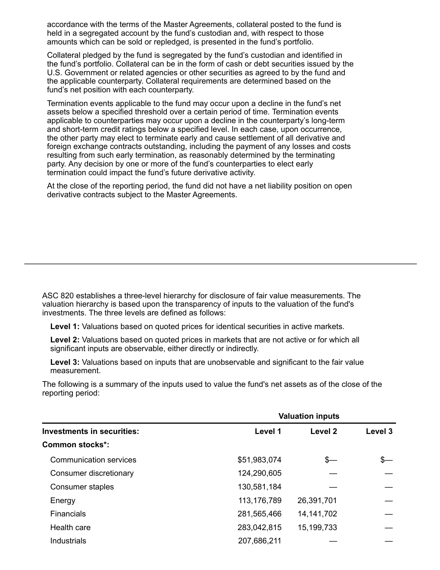accordance with the terms of the Master Agreements, collateral posted to the fund is held in a segregated account by the fund's custodian and, with respect to those amounts which can be sold or repledged, is presented in the fund's portfolio.

Collateral pledged by the fund is segregated by the fund's custodian and identified in the fund's portfolio. Collateral can be in the form of cash or debt securities issued by the U.S. Government or related agencies or other securities as agreed to by the fund and the applicable counterparty. Collateral requirements are determined based on the fund's net position with each counterparty.

Termination events applicable to the fund may occur upon a decline in the fund's net assets below a specified threshold over a certain period of time. Termination events applicable to counterparties may occur upon a decline in the counterparty's long-term and short-term credit ratings below a specified level. In each case, upon occurrence, the other party may elect to terminate early and cause settlement of all derivative and foreign exchange contracts outstanding, including the payment of any losses and costs resulting from such early termination, as reasonably determined by the terminating party. Any decision by one or more of the fund's counterparties to elect early termination could impact the fund's future derivative activity.

At the close of the reporting period, the fund did not have a net liability position on open derivative contracts subject to the Master Agreements.

ASC 820 establishes a three-level hierarchy for disclosure of fair value measurements. The valuation hierarchy is based upon the transparency of inputs to the valuation of the fund's investments. The three levels are defined as follows:

**Level 1:** Valuations based on quoted prices for identical securities in active markets.

**Level 2:** Valuations based on quoted prices in markets that are not active or for which all significant inputs are observable, either directly or indirectly.

**Level 3:** Valuations based on inputs that are unobservable and significant to the fair value measurement.

The following is a summary of the inputs used to value the fund's net assets as of the close of the reporting period:

|                                   | <b>Valuation inputs</b> |                    |         |  |
|-----------------------------------|-------------------------|--------------------|---------|--|
| <b>Investments in securities:</b> | Level 1                 | Level <sub>2</sub> | Level 3 |  |
| <b>Common stocks*:</b>            |                         |                    |         |  |
| Communication services            | \$51,983,074            | \$—                |         |  |
| Consumer discretionary            | 124,290,605             |                    |         |  |
| Consumer staples                  | 130,581,184             |                    |         |  |
| Energy                            | 113,176,789             | 26,391,701         |         |  |
| <b>Financials</b>                 | 281,565,466             | 14, 141, 702       |         |  |
| Health care                       | 283,042,815             | 15, 199, 733       |         |  |
| <b>Industrials</b>                | 207,686,211             |                    |         |  |